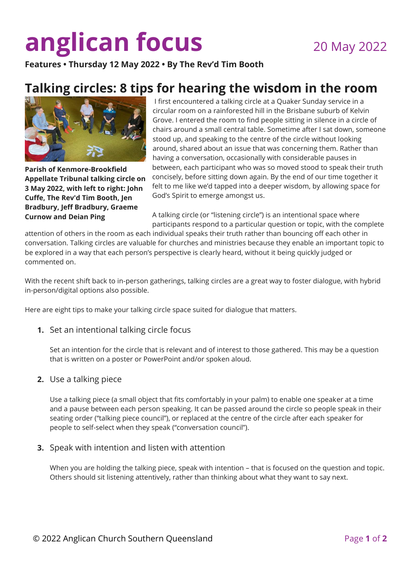# **anglican focus** 20 May 2022

**Features • Thursday 12 May 2022 • By The Rev'd Tim Booth** 

# **Talking circles: 8 tips for hearing the wisdom in the room**



**Parish of Kenmore-Brookfield Appellate Tribunal talking circle on 3 May 2022, with left to right: John Cuffe, The Rev'd Tim Booth, Jen Bradbury, Jeff Bradbury, Graeme Curnow and Deian Ping**

I first encountered a talking circle at a Quaker Sunday service in a circular room on a rainforested hill in the Brisbane suburb of Kelvin Grove. I entered the room to find people sitting in silence in a circle of chairs around a small central table. Sometime after I sat down, someone stood up, and speaking to the centre of the circle without looking around, shared about an issue that was concerning them. Rather than having a conversation, occasionally with considerable pauses in between, each participant who was so moved stood to speak their truth concisely, before sitting down again. By the end of our time together it felt to me like we'd tapped into a deeper wisdom, by allowing space for God's Spirit to emerge amongst us.

A talking circle (or "listening circle") is an intentional space where participants respond to a particular question or topic, with the complete

attention of others in the room as each individual speaks their truth rather than bouncing off each other in conversation. Talking circles are valuable for churches and ministries because they enable an important topic to be explored in a way that each person's perspective is clearly heard, without it being quickly judged or commented on.

With the recent shift back to in-person gatherings, talking circles are a great way to foster dialogue, with hybrid in-person/digital options also possible.

Here are eight tips to make your talking circle space suited for dialogue that matters.

**1.** Set an intentional talking circle focus

Set an intention for the circle that is relevant and of interest to those gathered. This may be a question that is written on a poster or PowerPoint and/or spoken aloud.

**2.** Use a talking piece

Use a talking piece (a small object that fits comfortably in your palm) to enable one speaker at a time and a pause between each person speaking. It can be passed around the circle so people speak in their seating order ("talking piece council"), or replaced at the centre of the circle after each speaker for people to self-select when they speak ("conversation council").

**3.** Speak with intention and listen with attention

When you are holding the talking piece, speak with intention – that is focused on the question and topic. Others should sit listening attentively, rather than thinking about what they want to say next.